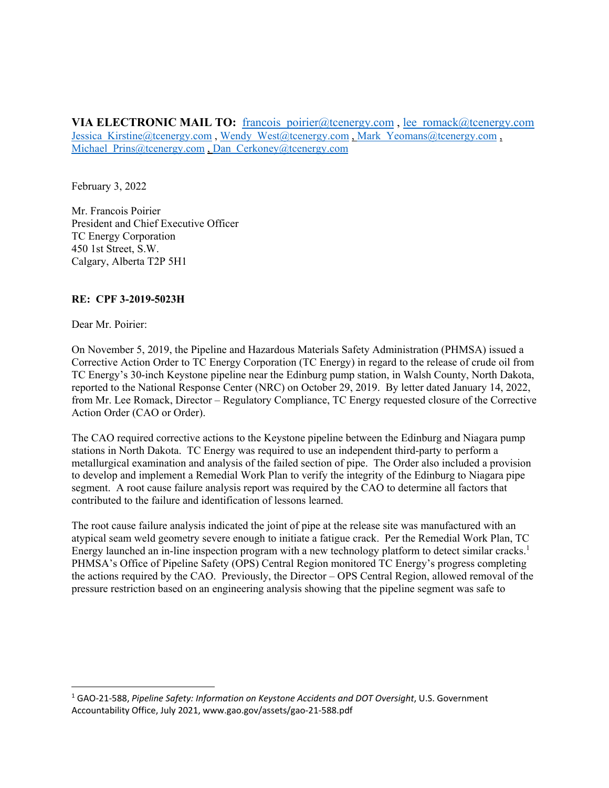**VIA ELECTRONIC MAIL TO:** francois [poirier@tcenergy.com](mailto:poirier@tcenergy.com), lee [romack@tcenergy.com](mailto:romack@tcenergy.com) Jessica [Kirstine@tcenergy.com](mailto:Kirstine@tcenergy.com), Wendy [West@tcenergy.com](mailto:West@tcenergy.com), Mark Yeomans@tcenergy.com, Michael [Prins@tcenergy.com](mailto:Prins@tcenergy.com) , Dan [Cerkoney@tcenergy.com](mailto:Cerkoney@tcenergy.com)

February 3, 2022

Mr. Francois Poirier President and Chief Executive Officer TC Energy Corporation 450 1st Street, S.W. Calgary, Alberta T2P 5H1

## **RE: CPF 3-2019-5023H**

Dear Mr. Poirier:

On November 5, 2019, the Pipeline and Hazardous Materials Safety Administration (PHMSA) issued a Corrective Action Order to TC Energy Corporation (TC Energy) in regard to the release of crude oil from TC Energy's 30-inch Keystone pipeline near the Edinburg pump station, in Walsh County, North Dakota, reported to the National Response Center (NRC) on October 29, 2019. By letter dated January 14, 2022, from Mr. Lee Romack, Director – Regulatory Compliance, TC Energy requested closure of the Corrective Action Order (CAO or Order).

The CAO required corrective actions to the Keystone pipeline between the Edinburg and Niagara pump stations in North Dakota. TC Energy was required to use an independent third-party to perform a metallurgical examination and analysis of the failed section of pipe. The Order also included a provision to develop and implement a Remedial Work Plan to verify the integrity of the Edinburg to Niagara pipe segment. A root cause failure analysis report was required by the CAO to determine all factors that contributed to the failure and identification of lessons learned.

The root cause failure analysis indicated the joint of pipe at the release site was manufactured with an atypical seam weld geometry severe enough to initiate a fatigue crack. Per the Remedial Work Plan, TC Energy launched an in-line inspection program with a new technology platform to detect similar cracks.<sup>1</sup> PHMSA's Office of Pipeline Safety (OPS) Central Region monitored TC Energy's progress completing the actions required by the CAO. Previously, the Director – OPS Central Region, allowed removal of the pressure restriction based on an engineering analysis showing that the pipeline segment was safe to

 <sup>1</sup> GAO‐21‐588, *Pipeline Safety: Information on Keystone Accidents and DOT Oversight*, U.S. Government Accountability Office, July 2021, [www.gao.gov/assets/gao](www.gao.gov/assets/gao-21-588.pdf)‐21‐588.pdf